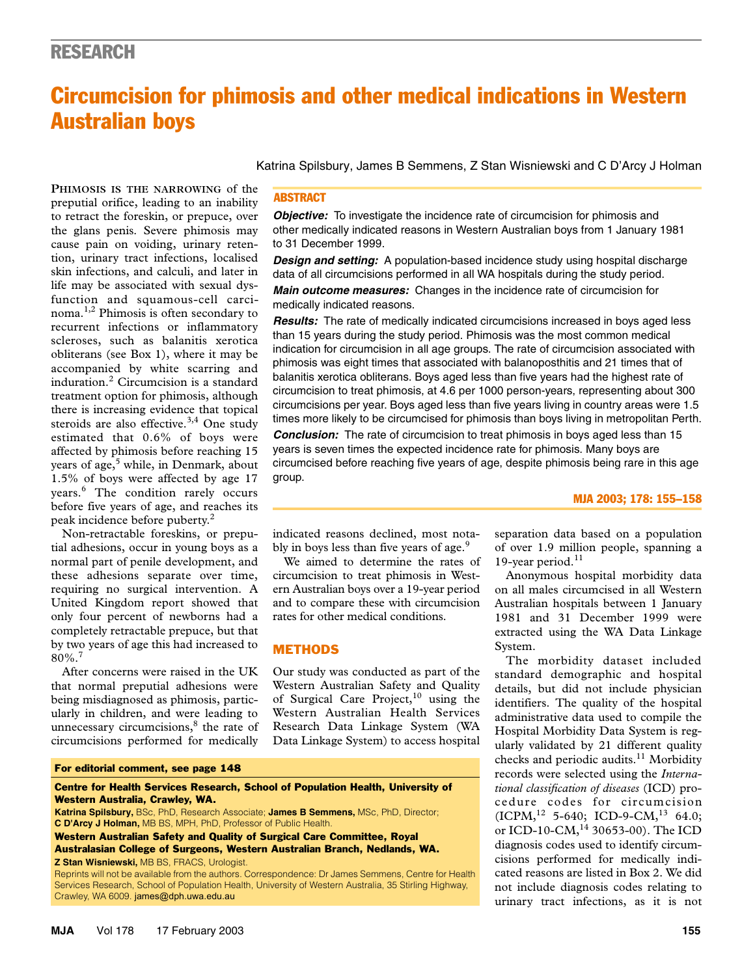# Circumcision for phimosis and other medical indications in Western Australian boys

cause pain on voiding, urinary retention, urinary tract infections, localised  $\frac{1}{10}$ skin infections, and calculi, and later in life may be associated with sexual dysfunction and squamous-cell carci-**PHIMOSIS IS THE NARROWING** of the preputial orifice, leading to an inability to retract the foreskin, or prepuce, over the glans penis. Severe phimosis may noma.1,2 Phimosis is often secondary to recurrent infections or inflammatory scleroses, such as balanitis xerotica obliterans (see Box 1), where it may be accompanied by white scarring and induration.<sup>2</sup> Circumcision is a standard treatment option for phimosis, although there is increasing evidence that topical steroids are also effective.<sup>3,4</sup> One study estimated that 0.6% of boys were affected by phimosis before reaching 15 years of age,<sup>5</sup> while, in Denmark, about 1.5% of boys were affected by age 17 years.<sup>6</sup> The condition rarely occurs before five years of age, and reaches its peak incidence before puberty.<sup>2</sup>

Non-retractable foreskins, or preputial adhesions, occur in young boys as a normal part of penile development, and these adhesions separate over time, requiring no surgical intervention. A United Kingdom report showed that only four percent of newborns had a completely retractable prepuce, but that by two years of age this had increased to  $80\%$ <sup>7</sup>

After concerns were raised in the UK that normal preputial adhesions were being misdiagnosed as phimosis, particularly in children, and were leading to unnecessary circumcisions,<sup>8</sup> the rate of circumcisions performed for medically

Katrina Spilsbury, James B Semmens, Z Stan Wisniewski and C D'Arcy J Holman

# **ABSTRACT**

**Objective:** To investigate the incidence rate of circumcision for phimosis and other medically indicated reasons in Western Australian boys from 1 January 1981 to 31 December 1999.

*Design and setting:* A population-based incidence study using hospital discharge data of all circumcisions performed in all WA hospitals during the study period.

*Main outcome measures:* Changes in the incidence rate of circumcision for medically indicated reasons.

*Results:* The rate of medically indicated circumcisions increased in boys aged less than 15 years during the study period. Phimosis was the most common medical indication for circumcision in all age groups. The rate of circumcision associated with phimosis was eight times that associated with balanoposthitis and 21 times that of balanitis xerotica obliterans. Boys aged less than five years had the highest rate of circumcision to treat phimosis, at 4.6 per 1000 person-years, representing about 300 circumcisions per year. Boys aged less than five years living in country areas were 1.5 times more likely to be circumcised for phimosis than boys living in metropolitan Perth.

*Conclusion:* The rate of circumcision to treat phimosis in boys aged less than 15 years is seven times the expected incidence rate for phimosis. Many boys are circumcised before reaching five years of age, despite phimosis being rare in this age group.

#### MJA 2003; 178: 155–158

indicated reasons declined, most notably in boys less than five years of age.<sup>9</sup>

We aimed to determine the rates of circumcision to treat phimosis in Western Australian boys over a 19-year period and to compare these with circumcision rates for other medical conditions.

# **METHODS**

Our study was conducted as part of the Western Australian Safety and Quality of Surgical Care Project,  $10$  using the Western Australian Health Services Research Data Linkage System (WA Data Linkage System) to access hospital

For editorial comment, see page 148

Centre for Health Services Research, School of Population Health, University of Western Australia, Crawley, WA.

**Katrina Spilsbury,** BSc, PhD, Research Associate; **James B Semmens,** MSc, PhD, Director; **C D'Arcy J Holman,** MB BS, MPH, PhD, Professor of Public Health.

Western Australian Safety and Quality of Surgical Care Committee, Royal Australasian College of Surgeons, Western Australian Branch, Nedlands, WA. **Z Stan Wisniewski,** MB BS, FRACS, Urologist.

Reprints will not be available from the authors. Correspondence: Dr James Semmens, Centre for Health Services Research, School of Population Health, University of Western Australia, 35 Stirling Highway, Crawley, WA 6009. james@dph.uwa.edu.au

separation data based on a population of over 1.9 million people, spanning a 19-year period. $11$ 

Anonymous hospital morbidity data on all males circumcised in all Western Australian hospitals between 1 January 1981 and 31 December 1999 were extracted using the WA Data Linkage System.

The morbidity dataset included standard demographic and hospital details, but did not include physician identifiers. The quality of the hospital administrative data used to compile the Hospital Morbidity Data System is regularly validated by 21 different quality checks and periodic audits.<sup>11</sup> Morbidity records were selected using the *International classification of diseases* (ICD) procedure codes for circumcision  $(ICPM<sup>12</sup> 5-640; ICD-9-CM<sup>13</sup> 64.0;$ or ICD-10-CM, $^{14}$  30653-00). The ICD diagnosis codes used to identify circumcisions performed for medically indicated reasons are listed in Box 2. We did not include diagnosis codes relating to urinary tract infections, as it is not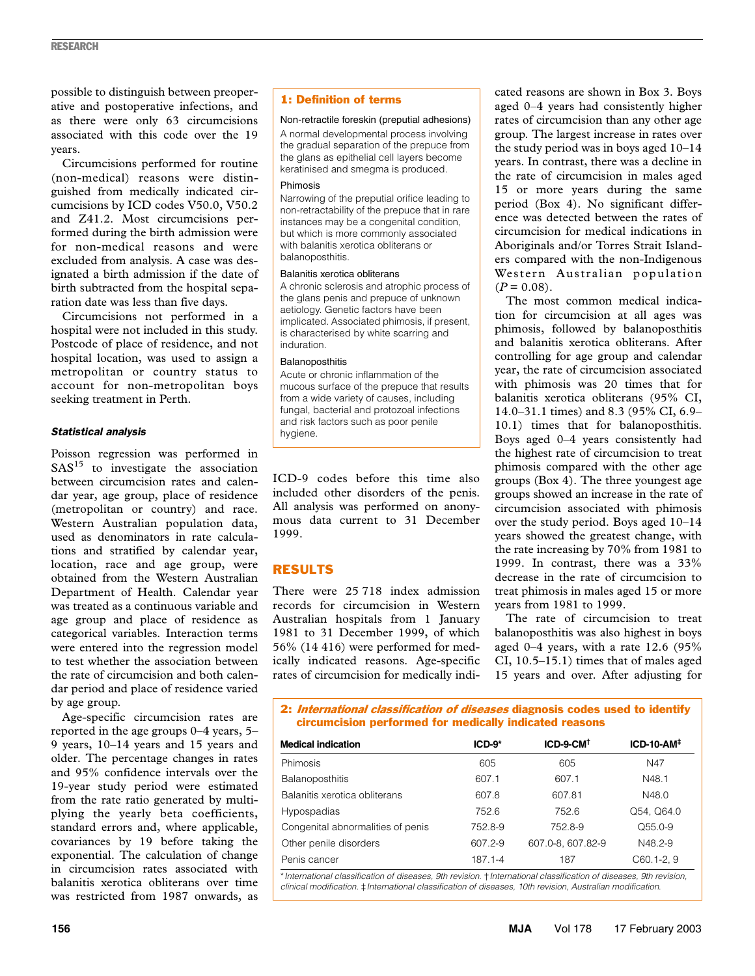possible to distinguish between preoperative and postoperative infections, and as there were only 63 circumcisions associated with this code over the 19 years.

Circumcisions performed for routine (non-medical) reasons were distinguished from medically indicated circumcisions by ICD codes V50.0, V50.2 and Z41.2. Most circumcisions performed during the birth admission were for non-medical reasons and were excluded from analysis. A case was designated a birth admission if the date of birth subtracted from the hospital separation date was less than five days.

Circumcisions not performed in a hospital were not included in this study. Postcode of place of residence, and not hospital location, was used to assign a metropolitan or country status to account for non-metropolitan boys seeking treatment in Perth.

### *Statistical analysis*

Poisson regression was performed in  $SAS<sup>15</sup>$  to investigate the association between circumcision rates and calendar year, age group, place of residence (metropolitan or country) and race. Western Australian population data, used as denominators in rate calculations and stratified by calendar year, location, race and age group, were obtained from the Western Australian Department of Health. Calendar year was treated as a continuous variable and age group and place of residence as categorical variables. Interaction terms were entered into the regression model to test whether the association between the rate of circumcision and both calendar period and place of residence varied by age group.

Age-specific circumcision rates are reported in the age groups 0–4 years, 5– 9 years, 10–14 years and 15 years and older. The percentage changes in rates and 95% confidence intervals over the 19-year study period were estimated from the rate ratio generated by multiplying the yearly beta coefficients, standard errors and, where applicable, covariances by 19 before taking the exponential. The calculation of change in circumcision rates associated with balanitis xerotica obliterans over time was restricted from 1987 onwards, as

# 1: Definition of terms

#### Non-retractile foreskin (preputial adhesions)

A normal developmental process involving the gradual separation of the prepuce from the glans as epithelial cell layers become keratinised and smegma is produced.

#### Phimosis

Narrowing of the preputial orifice leading to non-retractability of the prepuce that in rare instances may be a congenital condition, but which is more commonly associated with balanitis xerotica obliterans or balanoposthitis.

#### Balanitis xerotica obliterans

A chronic sclerosis and atrophic process of the glans penis and prepuce of unknown aetiology. Genetic factors have been implicated. Associated phimosis, if present, is characterised by white scarring and induration.

#### Balanoposthitis

Acute or chronic inflammation of the mucous surface of the prepuce that results from a wide variety of causes, including fungal, bacterial and protozoal infections and risk factors such as poor penile hygiene.

ICD-9 codes before this time also included other disorders of the penis. All analysis was performed on anonymous data current to 31 December 1999.

# RESULTS

There were 25 718 index admission records for circumcision in Western Australian hospitals from 1 January 1981 to 31 December 1999, of which 56% (14 416) were performed for medically indicated reasons. Age-specific rates of circumcision for medically indi-

cated reasons are shown in Box 3. Boys aged 0–4 years had consistently higher rates of circumcision than any other age group. The largest increase in rates over the study period was in boys aged 10–14 years. In contrast, there was a decline in the rate of circumcision in males aged 15 or more years during the same period (Box 4). No significant difference was detected between the rates of circumcision for medical indications in Aboriginals and/or Torres Strait Islanders compared with the non-Indigenous Western Australian population  $(P = 0.08)$ .

The most common medical indication for circumcision at all ages was phimosis, followed by balanoposthitis and balanitis xerotica obliterans. After controlling for age group and calendar year, the rate of circumcision associated with phimosis was 20 times that for balanitis xerotica obliterans (95% CI, 14.0–31.1 times) and 8.3 (95% CI, 6.9– 10.1) times that for balanoposthitis. Boys aged 0–4 years consistently had the highest rate of circumcision to treat phimosis compared with the other age groups (Box 4). The three youngest age groups showed an increase in the rate of circumcision associated with phimosis over the study period. Boys aged 10–14 years showed the greatest change, with the rate increasing by 70% from 1981 to 1999. In contrast, there was a 33% decrease in the rate of circumcision to treat phimosis in males aged 15 or more years from 1981 to 1999.

The rate of circumcision to treat balanoposthitis was also highest in boys aged  $0-4$  years, with a rate 12.6 (95%) CI, 10.5–15.1) times that of males aged 15 years and over. After adjusting for

2: *International classification of diseases* diagnosis codes used to identify circumcision performed for medically indicated reasons

| <b>Medical indication</b>         | $ICD-9*$ | $ICD-9-CM†$       | $ICD-10-AM+$   |  |
|-----------------------------------|----------|-------------------|----------------|--|
| <b>Phimosis</b>                   | 605      | 605               | N47            |  |
| <b>Balanoposthitis</b>            | 607.1    | 607.1             | N48.1          |  |
| Balanitis xerotica obliterans     | 607.8    | 607.81            | N48.0          |  |
| Hypospadias                       | 752.6    | 752.6             | Q54, Q64.0     |  |
| Congenital abnormalities of penis | 752.8-9  | 752.8-9           | $O55.0-9$      |  |
| Other penile disorders            | 607.2-9  | 607.0-8, 607.82-9 | N48.2-9        |  |
| Penis cancer                      | 187.1-4  | 187               | $C60.1 - 2, 9$ |  |

\**International classification of diseases, 9th revision*. †*International classification of diseases, 9th revision, clinical modification*. ‡*International classification of diseases, 10th revision, Australian modification*.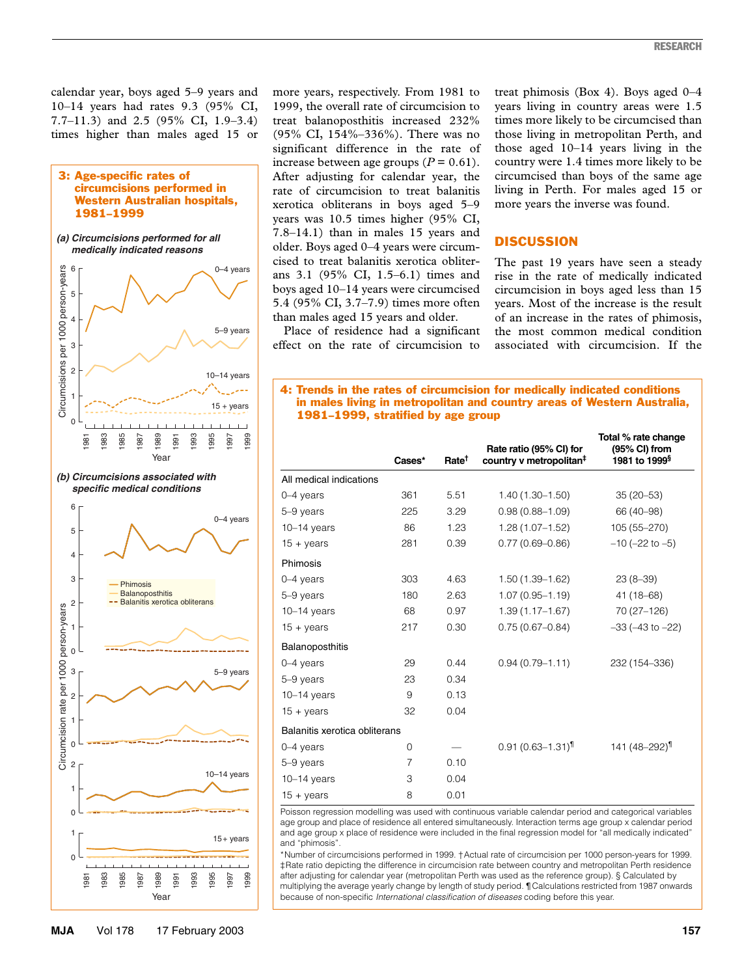calendar year, boys aged 5–9 years and 10–14 years had rates 9.3 (95% CI, 7.7–11.3) and 2.5 (95% CI, 1.9–3.4) times higher than males aged 15 or

#### 3: Age-specific rates of circumcisions performed in Western Australian hospitals, 1981–1999

*(a) Circumcisions performed for all medically indicated reasons*



more years, respectively. From 1981 to 1999, the overall rate of circumcision to treat balanoposthitis increased 232% (95% CI, 154%–336%). There was no significant difference in the rate of increase between age groups  $(P = 0.61)$ . After adjusting for calendar year, the rate of circumcision to treat balanitis xerotica obliterans in boys aged 5–9 years was 10.5 times higher (95% CI, 7.8–14.1) than in males 15 years and older. Boys aged 0–4 years were circumcised to treat balanitis xerotica obliterans 3.1 (95% CI, 1.5–6.1) times and boys aged 10–14 years were circumcised 5.4 (95% CI, 3.7–7.9) times more often than males aged 15 years and older.

Place of residence had a significant effect on the rate of circumcision to

treat phimosis (Box 4). Boys aged 0–4 years living in country areas were 1.5 times more likely to be circumcised than those living in metropolitan Perth, and those aged 10–14 years living in the country were 1.4 times more likely to be circumcised than boys of the same age living in Perth. For males aged 15 or more years the inverse was found.

# **DISCUSSION**

The past 19 years have seen a steady rise in the rate of medically indicated circumcision in boys aged less than 15 years. Most of the increase is the result of an increase in the rates of phimosis, the most common medical condition associated with circumcision. If the

4: Trends in the rates of circumcision for medically indicated conditions in males living in metropolitan and country areas of Western Australia, 1981–1999, stratified by age group

|                               |                |                   |                                                                | Total % rate change                        |
|-------------------------------|----------------|-------------------|----------------------------------------------------------------|--------------------------------------------|
|                               | Cases*         | Rate <sup>†</sup> | Rate ratio (95% CI) for<br>country v metropolitan <sup>#</sup> | (95% CI) from<br>1981 to 1999 <sup>§</sup> |
| All medical indications       |                |                   |                                                                |                                            |
| 0-4 years                     | 361            | 5.51              | $1.40(1.30 - 1.50)$                                            | $35(20-53)$                                |
| 5-9 years                     | 225            | 3.29              | $0.98(0.88 - 1.09)$                                            | 66 (40-98)                                 |
| $10-14$ years                 | 86             | 1.23              | $1.28(1.07 - 1.52)$                                            | 105 (55-270)                               |
| $15 + \mathrm{years}$         | 281            | 0.39              | $0.77(0.69 - 0.86)$                                            | $-10$ ( $-22$ to $-5$ )                    |
| Phimosis                      |                |                   |                                                                |                                            |
| $0-4$ years                   | 303            | 4.63              | $1.50(1.39 - 1.62)$                                            | $23(8-39)$                                 |
| 5-9 years                     | 180            | 2.63              | $1.07(0.95 - 1.19)$                                            | $41(18-68)$                                |
| $10-14$ years                 | 68             | 0.97              | $1.39(1.17 - 1.67)$                                            | 70 (27-126)                                |
| $15 + \mathrm{years}$         | 217            | 0.30              | $0.75(0.67 - 0.84)$                                            | $-33$ ( $-43$ to $-22$ )                   |
| Balanoposthitis               |                |                   |                                                                |                                            |
| $0-4$ years                   | 29             | 0.44              | $0.94(0.79 - 1.11)$                                            | 232 (154-336)                              |
| 5-9 years                     | 23             | 0.34              |                                                                |                                            |
| $10 - 14$ years               | 9              | 0.13              |                                                                |                                            |
| $15 + \text{years}$           | 32             | 0.04              |                                                                |                                            |
| Balanitis xerotica obliterans |                |                   |                                                                |                                            |
| $0-4$ years                   | 0              |                   | $0.91(0.63 - 1.31)^{1}$                                        | 141 (48-292) <sup>1</sup>                  |
| 5-9 years                     | $\overline{7}$ | 0.10              |                                                                |                                            |
| $10-14$ years                 | 3              | 0.04              |                                                                |                                            |
| $15 + \text{years}$           | 8              | 0.01              |                                                                |                                            |

Poisson regression modelling was used with continuous variable calendar period and categorical variables age group and place of residence all entered simultaneously. Interaction terms age group x calendar period and age group x place of residence were included in the final regression model for "all medically indicated" and "phimosis".

\*Number of circumcisions performed in 1999. †Actual rate of circumcision per 1000 person-years for 1999. ‡Rate ratio depicting the difference in circumcision rate between country and metropolitan Perth residence after adjusting for calendar year (metropolitan Perth was used as the reference group). § Calculated by multiplying the average yearly change by length of study period. ¶Calculations restricted from 1987 onwards because of non-specific *International classification of diseases* coding before this year.